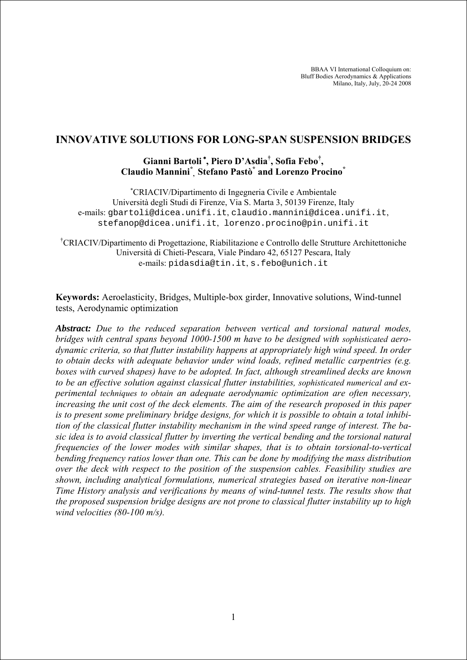BBAA VI International Colloquium on: Bluff Bodies Aerodynamics & Applications Milano, Italy, July, 20-24 2008

# **INNOVATIVE SOLUTIONS FOR LONG-SPAN SUSPENSION BRIDGES**

# **Gianni Bartoli** <sup>∗</sup> **, Piero D'Asdia† , Sofia Febo† , Claudio Mannini\* , Stefano Pastò\* and Lorenzo Procino\***

∗ CRIACIV/Dipartimento di Ingegneria Civile e Ambientale Università degli Studi di Firenze, Via S. Marta 3, 50139 Firenze, Italy e-mails: gbartoli@dicea.unifi.it, claudio.mannini@dicea.unifi.it, stefanop@dicea.unifi.it, lorenzo.procino@pin.unifi.it

† CRIACIV/Dipartimento di Progettazione, Riabilitazione e Controllo delle Strutture Architettoniche Università di Chieti-Pescara, Viale Pindaro 42, 65127 Pescara, Italy e-mails: pidasdia@tin.it, s.febo@unich.it

**Keywords:** Aeroelasticity, Bridges, Multiple-box girder, Innovative solutions, Wind-tunnel tests, Aerodynamic optimization

*Abstract: Due to the reduced separation between vertical and torsional natural modes, bridges with central spans beyond 1000-1500 m have to be designed with sophisticated aerodynamic criteria, so that flutter instability happens at appropriately high wind speed. In order to obtain decks with adequate behavior under wind loads, refined metallic carpentries (e.g. boxes with curved shapes) have to be adopted. In fact, although streamlined decks are known to be an effective solution against classical flutter instabilities, sophisticated numerical and experimental techniques to obtain an adequate aerodynamic optimization are often necessary, increasing the unit cost of the deck elements. The aim of the research proposed in this paper is to present some preliminary bridge designs, for which it is possible to obtain a total inhibition of the classical flutter instability mechanism in the wind speed range of interest. The basic idea is to avoid classical flutter by inverting the vertical bending and the torsional natural frequencies of the lower modes with similar shapes, that is to obtain torsional-to-vertical bending frequency ratios lower than one. This can be done by modifying the mass distribution over the deck with respect to the position of the suspension cables. Feasibility studies are shown, including analytical formulations, numerical strategies based on iterative non-linear Time History analysis and verifications by means of wind-tunnel tests. The results show that the proposed suspension bridge designs are not prone to classical flutter instability up to high wind velocities (80-100 m/s).*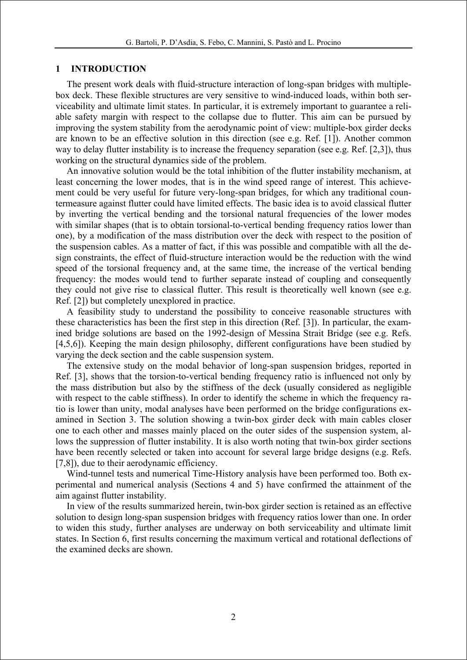### **1 INTRODUCTION**

The present work deals with fluid-structure interaction of long-span bridges with multiplebox deck. These flexible structures are very sensitive to wind-induced loads, within both serviceability and ultimate limit states. In particular, it is extremely important to guarantee a reliable safety margin with respect to the collapse due to flutter. This aim can be pursued by improving the system stability from the aerodynamic point of view: multiple-box girder decks are known to be an effective solution in this direction (see e.g. Ref. [1]). Another common way to delay flutter instability is to increase the frequency separation (see e.g. Ref. [2,3]), thus working on the structural dynamics side of the problem.

An innovative solution would be the total inhibition of the flutter instability mechanism, at least concerning the lower modes, that is in the wind speed range of interest. This achievement could be very useful for future very-long-span bridges, for which any traditional countermeasure against flutter could have limited effects. The basic idea is to avoid classical flutter by inverting the vertical bending and the torsional natural frequencies of the lower modes with similar shapes (that is to obtain torsional-to-vertical bending frequency ratios lower than one), by a modification of the mass distribution over the deck with respect to the position of the suspension cables. As a matter of fact, if this was possible and compatible with all the design constraints, the effect of fluid-structure interaction would be the reduction with the wind speed of the torsional frequency and, at the same time, the increase of the vertical bending frequency: the modes would tend to further separate instead of coupling and consequently they could not give rise to classical flutter. This result is theoretically well known (see e.g. Ref. [2]) but completely unexplored in practice.

A feasibility study to understand the possibility to conceive reasonable structures with these characteristics has been the first step in this direction (Ref. [3]). In particular, the examined bridge solutions are based on the 1992-design of Messina Strait Bridge (see e.g. Refs. [4,5,6]). Keeping the main design philosophy, different configurations have been studied by varying the deck section and the cable suspension system.

The extensive study on the modal behavior of long-span suspension bridges, reported in Ref. [3], shows that the torsion-to-vertical bending frequency ratio is influenced not only by the mass distribution but also by the stiffness of the deck (usually considered as negligible with respect to the cable stiffness). In order to identify the scheme in which the frequency ratio is lower than unity, modal analyses have been performed on the bridge configurations examined in Section 3. The solution showing a twin-box girder deck with main cables closer one to each other and masses mainly placed on the outer sides of the suspension system, allows the suppression of flutter instability. It is also worth noting that twin-box girder sections have been recently selected or taken into account for several large bridge designs (e.g. Refs. [7,8]), due to their aerodynamic efficiency.

Wind-tunnel tests and numerical Time-History analysis have been performed too. Both experimental and numerical analysis (Sections 4 and 5) have confirmed the attainment of the aim against flutter instability.

In view of the results summarized herein, twin-box girder section is retained as an effective solution to design long-span suspension bridges with frequency ratios lower than one. In order to widen this study, further analyses are underway on both serviceability and ultimate limit states. In Section 6, first results concerning the maximum vertical and rotational deflections of the examined decks are shown.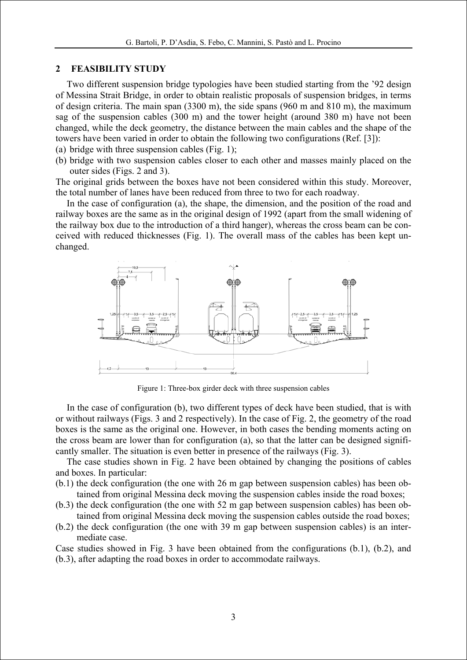#### **2 FEASIBILITY STUDY**

Two different suspension bridge typologies have been studied starting from the '92 design of Messina Strait Bridge, in order to obtain realistic proposals of suspension bridges, in terms of design criteria. The main span (3300 m), the side spans (960 m and 810 m), the maximum sag of the suspension cables (300 m) and the tower height (around 380 m) have not been changed, while the deck geometry, the distance between the main cables and the shape of the towers have been varied in order to obtain the following two configurations (Ref. [3]):

(a) bridge with three suspension cables (Fig. 1);

(b) bridge with two suspension cables closer to each other and masses mainly placed on the outer sides (Figs. 2 and 3).

The original grids between the boxes have not been considered within this study. Moreover, the total number of lanes have been reduced from three to two for each roadway.

In the case of configuration (a), the shape, the dimension, and the position of the road and railway boxes are the same as in the original design of 1992 (apart from the small widening of the railway box due to the introduction of a third hanger), whereas the cross beam can be conceived with reduced thicknesses (Fig. 1). The overall mass of the cables has been kept unchanged.



Figure 1: Three-box girder deck with three suspension cables

In the case of configuration (b), two different types of deck have been studied, that is with or without railways (Figs. 3 and 2 respectively). In the case of Fig. 2, the geometry of the road boxes is the same as the original one. However, in both cases the bending moments acting on the cross beam are lower than for configuration (a), so that the latter can be designed significantly smaller. The situation is even better in presence of the railways (Fig. 3).

The case studies shown in Fig. 2 have been obtained by changing the positions of cables and boxes. In particular:

- (b.1) the deck configuration (the one with 26 m gap between suspension cables) has been obtained from original Messina deck moving the suspension cables inside the road boxes;
- (b.3) the deck configuration (the one with 52 m gap between suspension cables) has been obtained from original Messina deck moving the suspension cables outside the road boxes;
- (b.2) the deck configuration (the one with 39 m gap between suspension cables) is an intermediate case.

Case studies showed in Fig. 3 have been obtained from the configurations (b.1), (b.2), and (b.3), after adapting the road boxes in order to accommodate railways.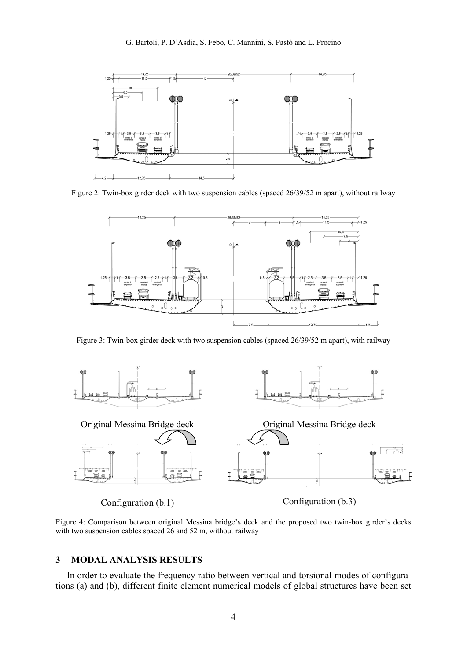

Figure 2: Twin-box girder deck with two suspension cables (spaced 26/39/52 m apart), without railway



Figure 3: Twin-box girder deck with two suspension cables (spaced 26/39/52 m apart), with railway



Figure 4: Comparison between original Messina bridge's deck and the proposed two twin-box girder's decks with two suspension cables spaced 26 and 52 m, without railway

### **3 MODAL ANALYSIS RESULTS**

In order to evaluate the frequency ratio between vertical and torsional modes of configurations (a) and (b), different finite element numerical models of global structures have been set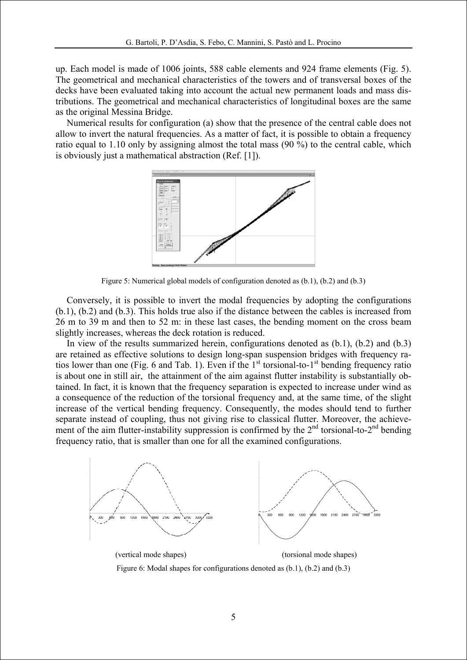up. Each model is made of 1006 joints, 588 cable elements and 924 frame elements (Fig. 5). The geometrical and mechanical characteristics of the towers and of transversal boxes of the decks have been evaluated taking into account the actual new permanent loads and mass distributions. The geometrical and mechanical characteristics of longitudinal boxes are the same as the original Messina Bridge.

Numerical results for configuration (a) show that the presence of the central cable does not allow to invert the natural frequencies. As a matter of fact, it is possible to obtain a frequency ratio equal to 1.10 only by assigning almost the total mass (90 %) to the central cable, which is obviously just a mathematical abstraction (Ref. [1]).



Figure 5: Numerical global models of configuration denoted as (b.1), (b.2) and (b.3)

Conversely, it is possible to invert the modal frequencies by adopting the configurations (b.1), (b.2) and (b.3). This holds true also if the distance between the cables is increased from 26 m to 39 m and then to 52 m: in these last cases, the bending moment on the cross beam slightly increases, whereas the deck rotation is reduced.

In view of the results summarized herein, configurations denoted as (b.1), (b.2) and (b.3) are retained as effective solutions to design long-span suspension bridges with frequency ratios lower than one (Fig. 6 and Tab. 1). Even if the  $1<sup>st</sup>$  torsional-to- $1<sup>st</sup>$  bending frequency ratio is about one in still air, the attainment of the aim against flutter instability is substantially obtained. In fact, it is known that the frequency separation is expected to increase under wind as a consequence of the reduction of the torsional frequency and, at the same time, of the slight increase of the vertical bending frequency. Consequently, the modes should tend to further separate instead of coupling, thus not giving rise to classical flutter. Moreover, the achievement of the aim flutter-instability suppression is confirmed by the  $2<sup>nd</sup>$  torsional-to- $2<sup>nd</sup>$  bending frequency ratio, that is smaller than one for all the examined configurations.



Figure 6: Modal shapes for configurations denoted as (b.1), (b.2) and (b.3)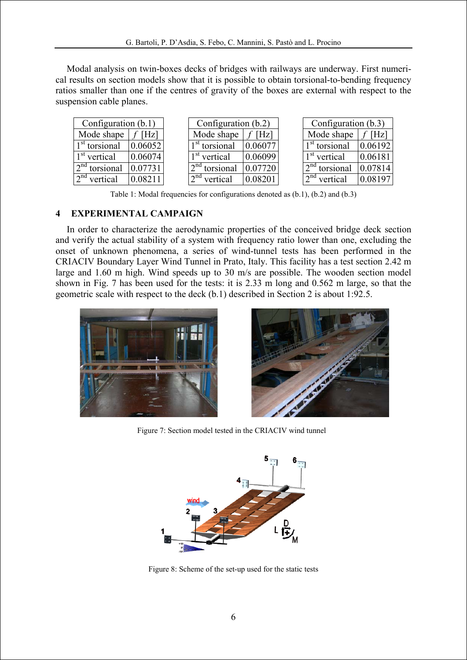Modal analysis on twin-boxes decks of bridges with railways are underway. First numerical results on section models show that it is possible to obtain torsional-to-bending frequency ratios smaller than one if the centres of gravity of the boxes are external with respect to the suspension cable planes.

| Configuration $(b.1)$             |         | Configuration $(b.2)$     |         | Configuration (b.3)             |         |
|-----------------------------------|---------|---------------------------|---------|---------------------------------|---------|
| Mode shape                        | Hz      | Mode shape                | [Hz]    | Mode shape                      |         |
| $1st$ torsional                   | 0.06052 | 1 <sup>st</sup> torsional |         | $1st$ torsional                 | 0.06192 |
| $1st$ vertical                    | 0.06074 | $1st$ vertical            | 0.06099 | $1st$ vertical                  | 0.06181 |
| $2nd$ torsional                   |         | $\sqrt{2}^{nd}$ torsional | 0.07720 | $\sqrt{2}^{nd}$ torsional       | 0.07814 |
| $\sqrt{2}$ <sup>nd</sup> vertical |         | $\gamma$ nd<br>vertical   |         | $\sqrt{2}^{\text{nd}}$ vertical |         |

Table 1: Modal frequencies for configurations denoted as (b.1), (b.2) and (b.3)

## **4 EXPERIMENTAL CAMPAIGN**

In order to characterize the aerodynamic properties of the conceived bridge deck section and verify the actual stability of a system with frequency ratio lower than one, excluding the onset of unknown phenomena, a series of wind-tunnel tests has been performed in the CRIACIV Boundary Layer Wind Tunnel in Prato, Italy. This facility has a test section 2.42 m large and 1.60 m high. Wind speeds up to 30 m/s are possible. The wooden section model shown in Fig. 7 has been used for the tests: it is 2.33 m long and 0.562 m large, so that the geometric scale with respect to the deck (b.1) described in Section 2 is about 1:92.5.





Figure 7: Section model tested in the CRIACIV wind tunnel



Figure 8: Scheme of the set-up used for the static tests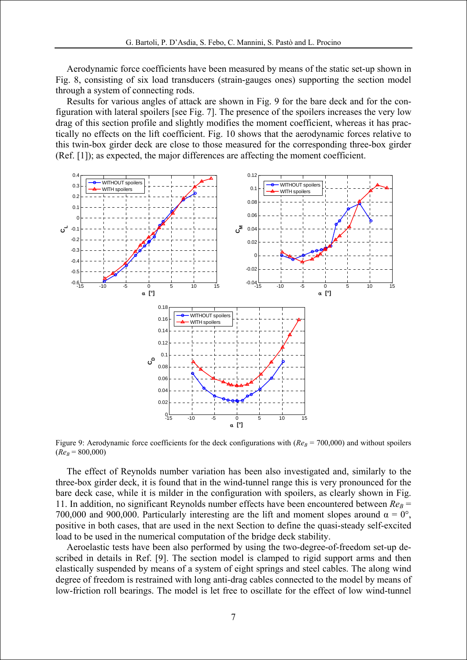Aerodynamic force coefficients have been measured by means of the static set-up shown in Fig. 8, consisting of six load transducers (strain-gauges ones) supporting the section model through a system of connecting rods.

Results for various angles of attack are shown in Fig. 9 for the bare deck and for the configuration with lateral spoilers [see Fig. 7]. The presence of the spoilers increases the very low drag of this section profile and slightly modifies the moment coefficient, whereas it has practically no effects on the lift coefficient. Fig. 10 shows that the aerodynamic forces relative to this twin-box girder deck are close to those measured for the corresponding three-box girder (Ref. [1]); as expected, the major differences are affecting the moment coefficient.



Figure 9: Aerodynamic force coefficients for the deck configurations with  $(Re_B = 700,000)$  and without spoilers  $(Re<sub>B</sub> = 800,000)$ 

The effect of Reynolds number variation has been also investigated and, similarly to the three-box girder deck, it is found that in the wind-tunnel range this is very pronounced for the bare deck case, while it is milder in the configuration with spoilers, as clearly shown in Fig. 11. In addition, no significant Reynolds number effects have been encountered between  $Re_B$  = 700,000 and 900,000. Particularly interesting are the lift and moment slopes around  $\alpha = 0^{\circ}$ , positive in both cases, that are used in the next Section to define the quasi-steady self-excited load to be used in the numerical computation of the bridge deck stability.

Aeroelastic tests have been also performed by using the two-degree-of-freedom set-up described in details in Ref. [9]. The section model is clamped to rigid support arms and then elastically suspended by means of a system of eight springs and steel cables. The along wind degree of freedom is restrained with long anti-drag cables connected to the model by means of low-friction roll bearings. The model is let free to oscillate for the effect of low wind-tunnel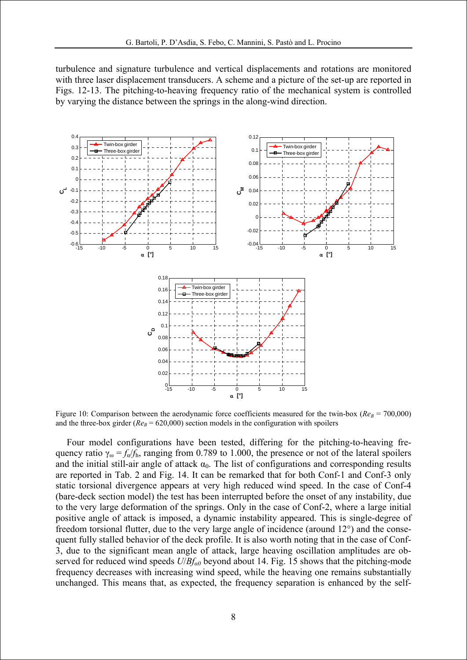turbulence and signature turbulence and vertical displacements and rotations are monitored with three laser displacement transducers. A scheme and a picture of the set-up are reported in Figs. 12-13. The pitching-to-heaving frequency ratio of the mechanical system is controlled by varying the distance between the springs in the along-wind direction.



Figure 10: Comparison between the aerodynamic force coefficients measured for the twin-box ( $Re_B = 700,000$ ) and the three-box girder ( $Re_B = 620,000$ ) section models in the configuration with spoilers

Four model configurations have been tested, differing for the pitching-to-heaving frequency ratio  $\gamma_{\omega} = f_{\omega}/f_{\text{h}}$ , ranging from 0.789 to 1.000, the presence or not of the lateral spoilers and the initial still-air angle of attack  $\alpha_0$ . The list of configurations and corresponding results are reported in Tab. 2 and Fig. 14. It can be remarked that for both Conf-1 and Conf-3 only static torsional divergence appears at very high reduced wind speed. In the case of Conf-4 (bare-deck section model) the test has been interrupted before the onset of any instability, due to the very large deformation of the springs. Only in the case of Conf-2, where a large initial positive angle of attack is imposed, a dynamic instability appeared. This is single-degree of freedom torsional flutter, due to the very large angle of incidence (around 12°) and the consequent fully stalled behavior of the deck profile. It is also worth noting that in the case of Conf-3, due to the significant mean angle of attack, large heaving oscillation amplitudes are observed for reduced wind speeds *U*/*Bfα0* beyond about 14. Fig. 15 shows that the pitching-mode frequency decreases with increasing wind speed, while the heaving one remains substantially unchanged. This means that, as expected, the frequency separation is enhanced by the self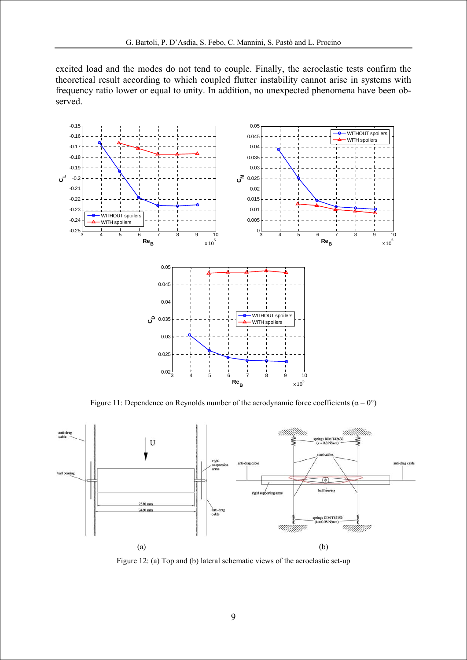excited load and the modes do not tend to couple. Finally, the aeroelastic tests confirm the theoretical result according to which coupled flutter instability cannot arise in systems with frequency ratio lower or equal to unity. In addition, no unexpected phenomena have been observed.



Figure 11: Dependence on Reynolds number of the aerodynamic force coefficients ( $\alpha = 0^{\circ}$ )



Figure 12: (a) Top and (b) lateral schematic views of the aeroelastic set-up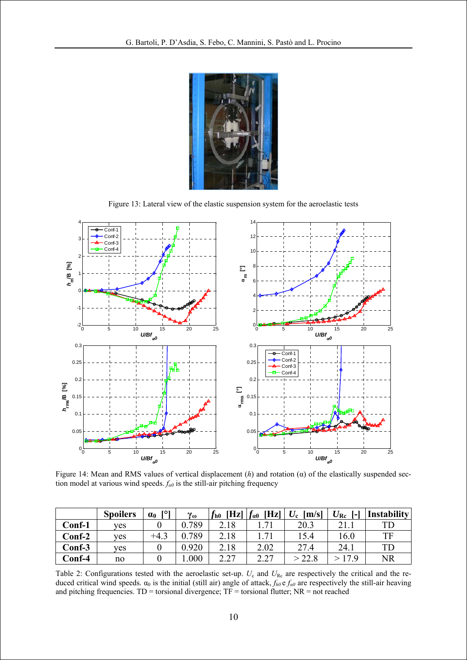

Figure 13: Lateral view of the elastic suspension system for the aeroelastic tests



Figure 14: Mean and RMS values of vertical displacement (*h*) and rotation (α) of the elastically suspended section model at various wind speeds. *fα0* is the still-air pitching frequency

|        | <b>Spoilers</b> | TO 1<br>$\alpha_0$ | $v_{\omega}$ | $\mathbf{Hz}$<br>$^{\prime}$ h $0$ | $\mathbf{Hz}$<br>$f_{\alpha 0}$ | $U_{\rm c}$<br>[m/s] | $U_{\rm Rc}$<br>$\mathbf{L}$ | <b>Instability</b> |
|--------|-----------------|--------------------|--------------|------------------------------------|---------------------------------|----------------------|------------------------------|--------------------|
| Conf-1 | <b>ves</b>      |                    | .789         | 2.18                               |                                 | 20.3                 |                              | TD                 |
| Conf-2 | ves             | $+4.3$             | .789         | 2.18                               | 71                              | 15.4                 | 16.0                         | TF                 |
| Conf-3 | <b>ves</b>      |                    | 0.920        | 2.18                               | 2.02                            | 27.4                 | 24.1                         | TD                 |
| Conf-4 | no              |                    | .000         | 2.27<br>$\overline{\phantom{a}}$   | 2.27<br>4.41                    | > 22.8               | 17 Q                         | <b>NR</b>          |

Table 2: Configurations tested with the aeroelastic set-up.  $U_c$  and  $U_{\text{Re}}$  are respectively the critical and the reduced critical wind speeds.  $\alpha_0$  is the initial (still air) angle of attack,  $f_{h0}e_{a0}$  are respectively the still-air heaving and pitching frequencies.  $TD =$  torsional divergence;  $TF =$  torsional flutter;  $NR =$  not reached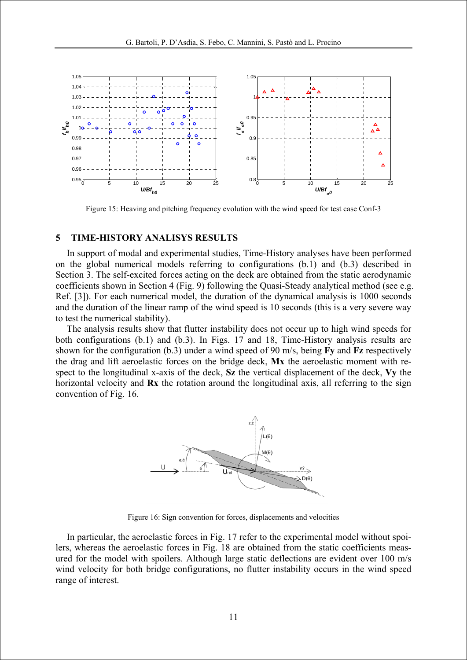

Figure 15: Heaving and pitching frequency evolution with the wind speed for test case Conf-3

#### **5 TIME-HISTORY ANALISYS RESULTS**

In support of modal and experimental studies, Time-History analyses have been performed on the global numerical models referring to configurations (b.1) and (b.3) described in Section 3. The self-excited forces acting on the deck are obtained from the static aerodynamic coefficients shown in Section 4 (Fig. 9) following the Quasi-Steady analytical method (see e.g. Ref. [3]). For each numerical model, the duration of the dynamical analysis is 1000 seconds and the duration of the linear ramp of the wind speed is 10 seconds (this is a very severe way to test the numerical stability).

The analysis results show that flutter instability does not occur up to high wind speeds for both configurations (b.1) and (b.3). In Figs. 17 and 18, Time-History analysis results are shown for the configuration (b.3) under a wind speed of 90 m/s, being **Fy** and **Fz** respectively the drag and lift aeroelastic forces on the bridge deck, **Mx** the aeroelastic moment with respect to the longitudinal x-axis of the deck, **Sz** the vertical displacement of the deck, **Vy** the horizontal velocity and **Rx** the rotation around the longitudinal axis, all referring to the sign convention of Fig. 16.



Figure 16: Sign convention for forces, displacements and velocities

In particular, the aeroelastic forces in Fig. 17 refer to the experimental model without spoilers, whereas the aeroelastic forces in Fig. 18 are obtained from the static coefficients measured for the model with spoilers. Although large static deflections are evident over 100 m/s wind velocity for both bridge configurations, no flutter instability occurs in the wind speed range of interest.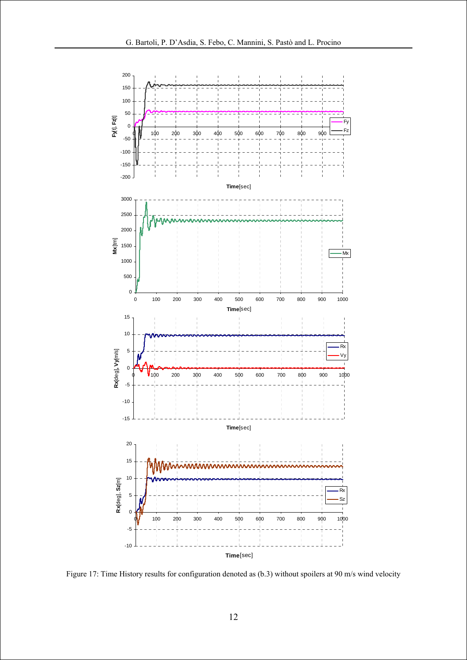

Figure 17: Time History results for configuration denoted as (b.3) without spoilers at 90 m/s wind velocity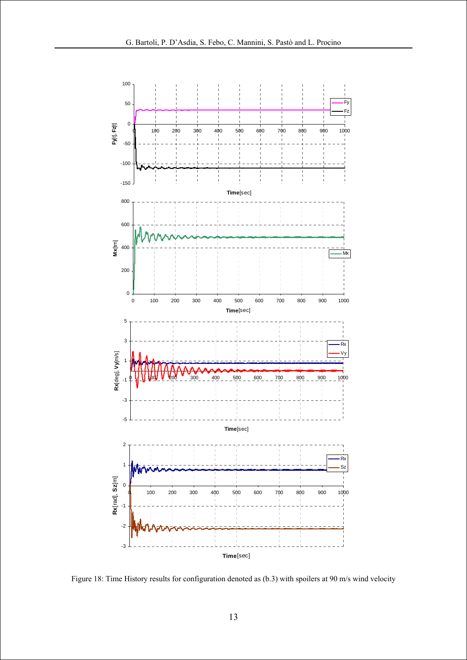

Figure 18: Time History results for configuration denoted as (b.3) with spoilers at 90 m/s wind velocity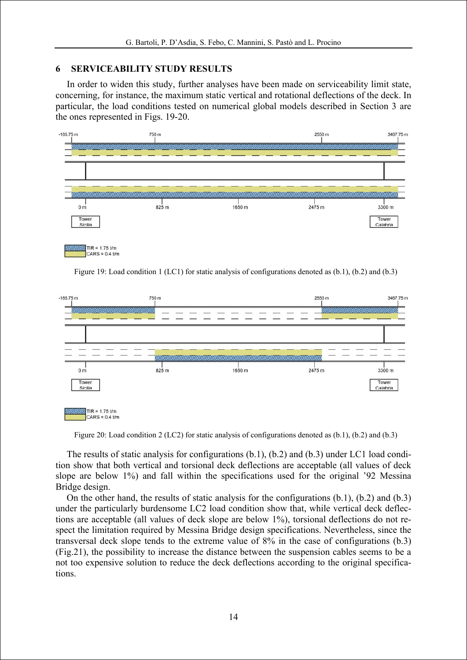## **6 SERVICEABILITY STUDY RESULTS**

In order to widen this study, further analyses have been made on serviceability limit state, concerning, for instance, the maximum static vertical and rotational deflections of the deck. In particular, the load conditions tested on numerical global models described in Section 3 are the ones represented in Figs. 19-20.



Figure 19: Load condition 1 (LC1) for static analysis of configurations denoted as (b.1), (b.2) and (b.3)



Figure 20: Load condition 2 (LC2) for static analysis of configurations denoted as (b.1), (b.2) and (b.3)

The results of static analysis for configurations (b.1), (b.2) and (b.3) under LC1 load condition show that both vertical and torsional deck deflections are acceptable (all values of deck slope are below 1%) and fall within the specifications used for the original '92 Messina Bridge design.

On the other hand, the results of static analysis for the configurations (b.1), (b.2) and (b.3) under the particularly burdensome LC2 load condition show that, while vertical deck deflections are acceptable (all values of deck slope are below 1%), torsional deflections do not respect the limitation required by Messina Bridge design specifications. Nevertheless, since the transversal deck slope tends to the extreme value of 8% in the case of configurations (b.3) (Fig.21), the possibility to increase the distance between the suspension cables seems to be a not too expensive solution to reduce the deck deflections according to the original specifications.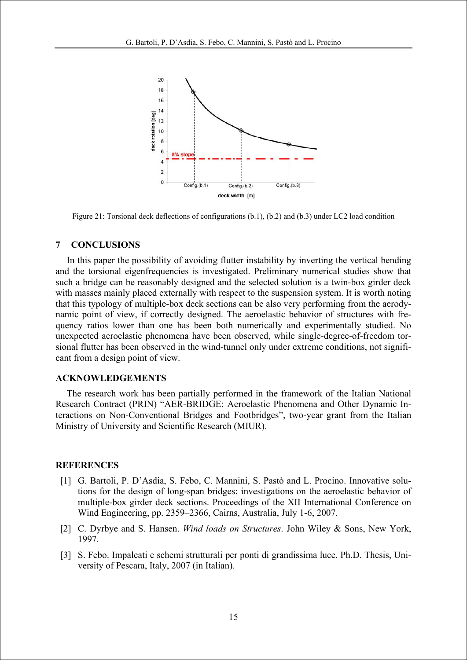

Figure 21: Torsional deck deflections of configurations (b.1), (b.2) and (b.3) under LC2 load condition

## **7 CONCLUSIONS**

In this paper the possibility of avoiding flutter instability by inverting the vertical bending and the torsional eigenfrequencies is investigated. Preliminary numerical studies show that such a bridge can be reasonably designed and the selected solution is a twin-box girder deck with masses mainly placed externally with respect to the suspension system. It is worth noting that this typology of multiple-box deck sections can be also very performing from the aerodynamic point of view, if correctly designed. The aeroelastic behavior of structures with frequency ratios lower than one has been both numerically and experimentally studied. No unexpected aeroelastic phenomena have been observed, while single-degree-of-freedom torsional flutter has been observed in the wind-tunnel only under extreme conditions, not significant from a design point of view.

#### **ACKNOWLEDGEMENTS**

The research work has been partially performed in the framework of the Italian National Research Contract (PRIN) "AER-BRIDGE: Aeroelastic Phenomena and Other Dynamic Interactions on Non-Conventional Bridges and Footbridges", two-year grant from the Italian Ministry of University and Scientific Research (MIUR).

#### **REFERENCES**

- [1] G. Bartoli, P. D'Asdia, S. Febo, C. Mannini, S. Pastò and L. Procino. Innovative solutions for the design of long-span bridges: investigations on the aeroelastic behavior of multiple-box girder deck sections. Proceedings of the XII International Conference on Wind Engineering, pp. 2359–2366, Cairns, Australia, July 1-6, 2007.
- [2] C. Dyrbye and S. Hansen. *Wind loads on Structures*. John Wiley & Sons, New York, 1997.
- [3] S. Febo. Impalcati e schemi strutturali per ponti di grandissima luce. Ph.D. Thesis, University of Pescara, Italy, 2007 (in Italian).